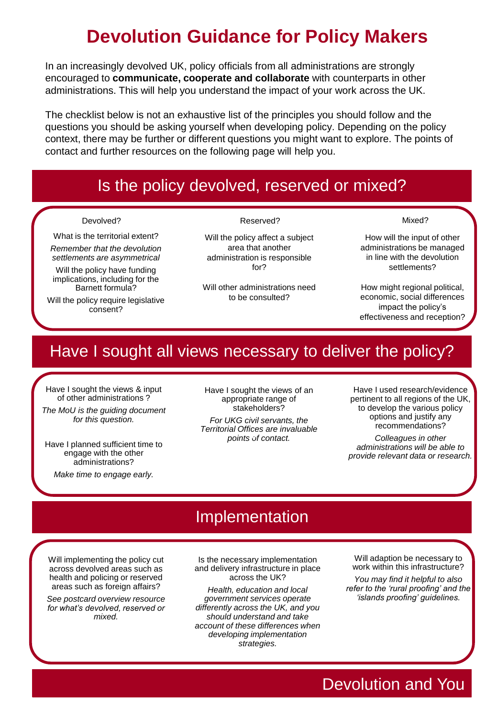## **Devolution Guidance for Policy Makers**

In an increasingly devolved UK, policy officials from all administrations are strongly encouraged to **communicate, cooperate and collaborate** with counterparts in other administrations. This will help you understand the impact of your work across the UK.

The checklist below is not an exhaustive list of the principles you should follow and the questions you should be asking yourself when developing policy. Depending on the policy context, there may be further or different questions you might want to explore. The points of contact and further resources on the following page will help you.

### Is the policy devolved, reserved or mixed?

#### Devolved?

What is the territorial extent? *Remember that the devolution settlements are asymmetrical*

Will the policy have funding implications, including for the Barnett formula?

Will the policy require legislative consent?

Reserved?

Will the policy affect a subject area that another administration is responsible for?

Will other administrations need to be consulted?

Mixed?

How will the input of other administrations be managed in line with the devolution settlements?

How might regional political, economic, social differences impact the policy's effectiveness and reception?

### Have I sought all views necessary to deliver the policy?

Have I sought the views & input of other administrations ?

*The MoU is the guiding document for this question.*

Have I planned sufficient time to engage with the other administrations?

*Make time to engage early.*

Have I sought the views of an appropriate range of stakeholders?

*For UKG civil servants, the Territorial Offices are invaluable ial Ottices are inv<br>points of contact.* 

Have I used research/evidence pertinent to all regions of the UK, to develop the various policy options and justify any recommendations?

*Colleagues in other administrations will be able to provide relevant data or research.*

#### Implementation

Will implementing the policy cut across devolved areas such as health and policing or reserved areas such as foreign affairs?

*See postcard overview resource for what's devolved, reserved or mixed.*

Is the necessary implementation and delivery infrastructure in place across the UK?

*Health, education and local government services operate differently across the UK, and you should understand and take account of these differences when developing implementation strategies.*

Will adaption be necessary to work within this infrastructure?

*You may find it helpful to also refer to the 'rural proofing' and the 'islands proofing' guidelines.*

## Devolution and You